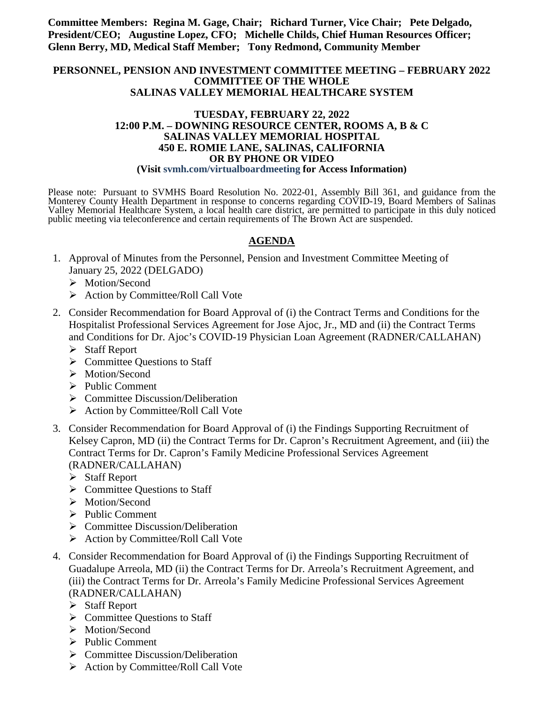**Committee Members: Regina M. Gage, Chair; Richard Turner, Vice Chair; Pete Delgado, President/CEO; Augustine Lopez, CFO; Michelle Childs, Chief Human Resources Officer; Glenn Berry, MD, Medical Staff Member; Tony Redmond, Community Member**

#### **PERSONNEL, PENSION AND INVESTMENT COMMITTEE MEETING – FEBRUARY 2022 COMMITTEE OF THE WHOLE SALINAS VALLEY MEMORIAL HEALTHCARE SYSTEM**

#### **TUESDAY, FEBRUARY 22, 2022 12:00 P.M. – DOWNING RESOURCE CENTER, ROOMS A, B & C SALINAS VALLEY MEMORIAL HOSPITAL 450 E. ROMIE LANE, SALINAS, CALIFORNIA OR BY PHONE OR VIDEO (Visit svmh.com/virtualboardmeeting for Access Information)**

Please note: Pursuant to SVMHS Board Resolution No. 2022-01, Assembly Bill 361, and guidance from the Monterey County Health Department in response to concerns regarding COVID-19, Board Members of Salinas Valley Memorial Healthcare System, a local health care district, are permitted to participate in this duly noticed public meeting via teleconference and certain requirements of The Brown Act are suspended.

## **AGENDA**

- 1. Approval of Minutes from the Personnel, Pension and Investment Committee Meeting of January 25, 2022 (DELGADO)
	- > Motion/Second
	- $\triangleright$  Action by Committee/Roll Call Vote
- 2. Consider Recommendation for Board Approval of (i) the Contract Terms and Conditions for the Hospitalist Professional Services Agreement for Jose Ajoc, Jr., MD and (ii) the Contract Terms and Conditions for Dr. Ajoc's COVID-19 Physician Loan Agreement (RADNER/CALLAHAN)
	- $\triangleright$  Staff Report
	- $\triangleright$  Committee Questions to Staff
	- > Motion/Second
	- $\triangleright$  Public Comment
	- $\triangleright$  Committee Discussion/Deliberation
	- $\triangleright$  Action by Committee/Roll Call Vote
- 3. Consider Recommendation for Board Approval of (i) the Findings Supporting Recruitment of Kelsey Capron, MD (ii) the Contract Terms for Dr. Capron's Recruitment Agreement, and (iii) the Contract Terms for Dr. Capron's Family Medicine Professional Services Agreement (RADNER/CALLAHAN)
	- $\triangleright$  Staff Report
	- $\triangleright$  Committee Ouestions to Staff
	- > Motion/Second
	- $\triangleright$  Public Comment
	- $\triangleright$  Committee Discussion/Deliberation
	- $\triangleright$  Action by Committee/Roll Call Vote
- 4. Consider Recommendation for Board Approval of (i) the Findings Supporting Recruitment of Guadalupe Arreola, MD (ii) the Contract Terms for Dr. Arreola's Recruitment Agreement, and (iii) the Contract Terms for Dr. Arreola's Family Medicine Professional Services Agreement (RADNER/CALLAHAN)
	- $\triangleright$  Staff Report
	- $\triangleright$  Committee Questions to Staff
	- > Motion/Second
	- $\triangleright$  Public Comment
	- $\triangleright$  Committee Discussion/Deliberation
	- $\triangleright$  Action by Committee/Roll Call Vote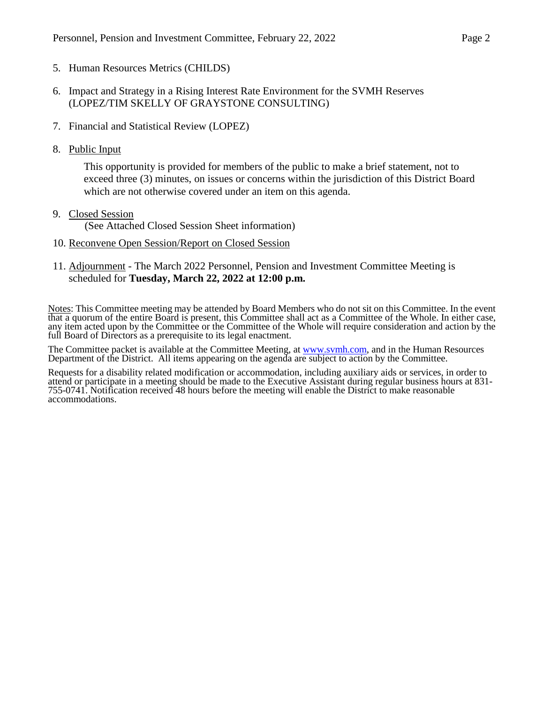- 5. Human Resources Metrics (CHILDS)
- 6. Impact and Strategy in a Rising Interest Rate Environment for the SVMH Reserves (LOPEZ/TIM SKELLY OF GRAYSTONE CONSULTING)
- 7. Financial and Statistical Review (LOPEZ)
- 8. Public Input

This opportunity is provided for members of the public to make a brief statement, not to exceed three (3) minutes, on issues or concerns within the jurisdiction of this District Board which are not otherwise covered under an item on this agenda.

9. Closed Session

(See Attached Closed Session Sheet information)

- 10. Reconvene Open Session/Report on Closed Session
- 11. Adjournment The March 2022 Personnel, Pension and Investment Committee Meeting is scheduled for **Tuesday, March 22, 2022 at 12:00 p.m.**

Notes: This Committee meeting may be attended by Board Members who do not sit on this Committee. In the event that a quorum of the entire Board is present, this Committee shall act as a Committee of the Whole. In either case, any item acted upon by the Committee or the Committee of the Whole will require consideration and action by the full Board of Directors as a prerequisite to its legal enactment.

The Committee packet is available at the Committee Meeting, at [www.svmh.com,](http://www.svmh.com/) and in the Human Resources Department of the District. All items appearing on the agenda are subject to action by the Committee.

Requests for a disability related modification or accommodation, including auxiliary aids or services, in order to attend or participate in a meeting should be made to the Executive Assistant during regular business hours at 831- 755-0741. Notification received 48 hours before the meeting will enable the District to make reasonable accommodations.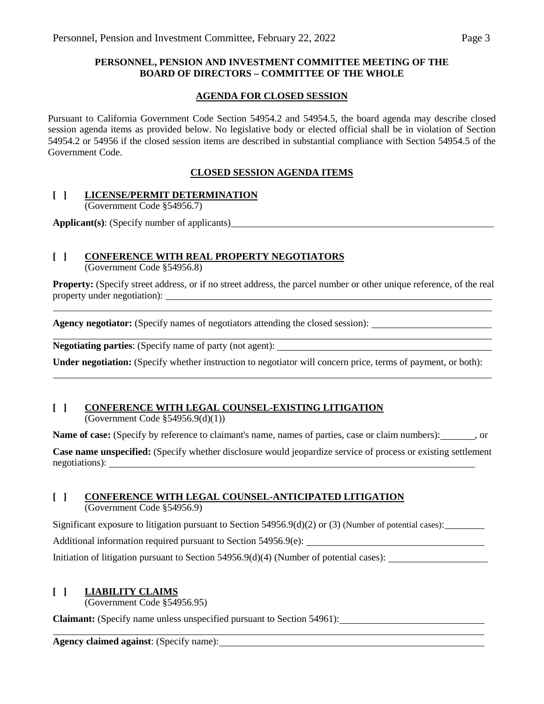#### **PERSONNEL, PENSION AND INVESTMENT COMMITTEE MEETING OF THE BOARD OF DIRECTORS – COMMITTEE OF THE WHOLE**

#### **AGENDA FOR CLOSED SESSION**

Pursuant to California Government Code Section 54954.2 and 54954.5, the board agenda may describe closed session agenda items as provided below. No legislative body or elected official shall be in violation of Section 54954.2 or 54956 if the closed session items are described in substantial compliance with Section 54954.5 of the Government Code.

## **CLOSED SESSION AGENDA ITEMS**

## **[ ] LICENSE/PERMIT DETERMINATION**

(Government Code §54956.7)

**Applicant(s)**: (Specify number of applicants)

# **[ ] CONFERENCE WITH REAL PROPERTY NEGOTIATORS**

(Government Code §54956.8)

**Property:** (Specify street address, or if no street address, the parcel number or other unique reference, of the real property under negotiation):

**Agency negotiator:** (Specify names of negotiators attending the closed session):

**Negotiating parties**: (Specify name of party (not agent):

**Under negotiation:** (Specify whether instruction to negotiator will concern price, terms of payment, or both):

#### **[ ] CONFERENCE WITH LEGAL COUNSEL-EXISTING LITIGATION** (Government Code §54956.9(d)(1))

Name of case: (Specify by reference to claimant's name, names of parties, case or claim numbers): , or

**Case name unspecified:** (Specify whether disclosure would jeopardize service of process or existing settlement negotiations):

# **[ ] CONFERENCE WITH LEGAL COUNSEL-ANTICIPATED LITIGATION**

(Government Code §54956.9)

Significant exposure to litigation pursuant to Section  $54956.9(d)(2)$  or (3) (Number of potential cases):

Additional information required pursuant to Section 54956.9(e):

Initiation of litigation pursuant to Section 54956.9(d)(4) (Number of potential cases):

# **[ ] LIABILITY CLAIMS**

(Government Code §54956.95)

**Claimant:** (Specify name unless unspecified pursuant to Section 54961):

**Agency claimed against**: (Specify name):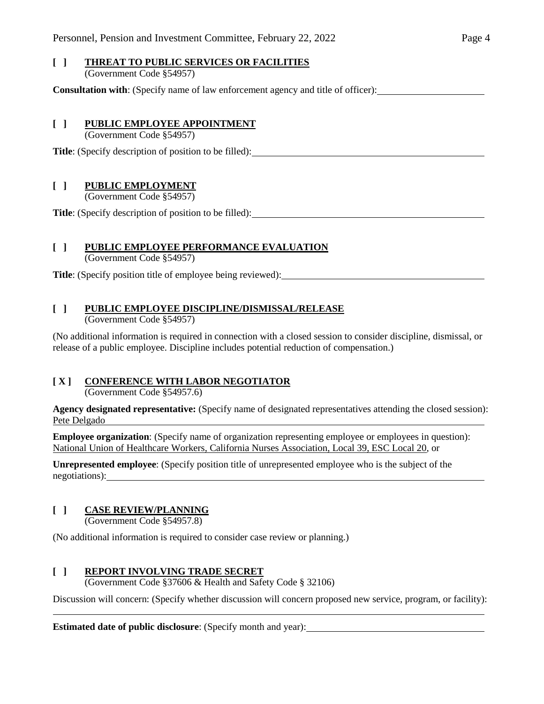#### **[ ] THREAT TO PUBLIC SERVICES OR FACILITIES** (Government Code §54957)

**Consultation with**: (Specify name of law enforcement agency and title of officer):

#### **[ ] PUBLIC EMPLOYEE APPOINTMENT**

(Government Code §54957)

**Title**: (Specify description of position to be filled):

## **[ ] PUBLIC EMPLOYMENT**

(Government Code §54957)

**Title**: (Specify description of position to be filled):

## **[ ] PUBLIC EMPLOYEE PERFORMANCE EVALUATION**

(Government Code §54957)

**Title**: (Specify position title of employee being reviewed):

## **[ ] PUBLIC EMPLOYEE DISCIPLINE/DISMISSAL/RELEASE**

(Government Code §54957)

(No additional information is required in connection with a closed session to consider discipline, dismissal, or release of a public employee. Discipline includes potential reduction of compensation.)

# **[ X ] CONFERENCE WITH LABOR NEGOTIATOR**

(Government Code §54957.6)

**Agency designated representative:** (Specify name of designated representatives attending the closed session): Pete Delgado

**Employee organization**: (Specify name of organization representing employee or employees in question): National Union of Healthcare Workers, California Nurses Association, Local 39, ESC Local 20, or

**Unrepresented employee**: (Specify position title of unrepresented employee who is the subject of the negotiations):

# **[ ] CASE REVIEW/PLANNING**

(Government Code §54957.8)

(No additional information is required to consider case review or planning.)

# **[ ] REPORT INVOLVING TRADE SECRET**

(Government Code §37606 & Health and Safety Code § 32106)

Discussion will concern: (Specify whether discussion will concern proposed new service, program, or facility):

**Estimated date of public disclosure**: (Specify month and year):